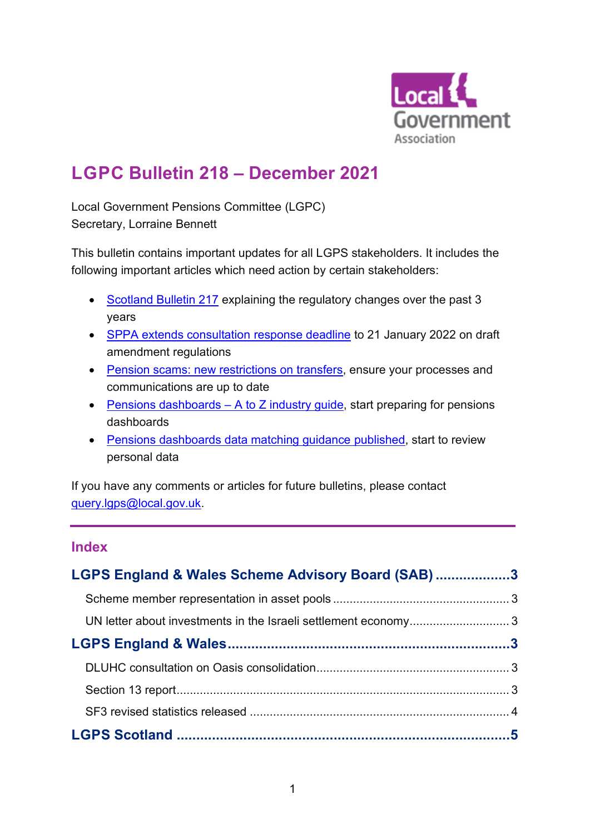

# **LGPC Bulletin 218 – December 2021**

Local Government Pensions Committee (LGPC) Secretary, Lorraine Bennett

This bulletin contains important updates for all LGPS stakeholders. It includes the following important articles which need action by certain stakeholders:

- [Scotland Bulletin 217](#page-4-0) explaining the regulatory changes over the past 3 years
- [SPPA extends consultation response deadline](#page-4-1) to 21 January 2022 on draft amendment regulations
- [Pension scams: new restrictions on transfers,](#page-7-0) ensure your processes and communications are up to date
- [Pensions dashboards](#page-9-0)  $A$  to  $\overline{Z}$  industry guide, start preparing for pensions dashboards
- [Pensions dashboards data matching guidance](#page-9-0) published, start to review personal data

If you have any comments or articles for future bulletins, please contact [query.lgps@local.gov.uk.](mailto:query.lgps@local.gov.uk)

# **Index**

| LGPS England & Wales Scheme Advisory Board (SAB)3 |  |
|---------------------------------------------------|--|
|                                                   |  |
|                                                   |  |
|                                                   |  |
|                                                   |  |
|                                                   |  |
|                                                   |  |
|                                                   |  |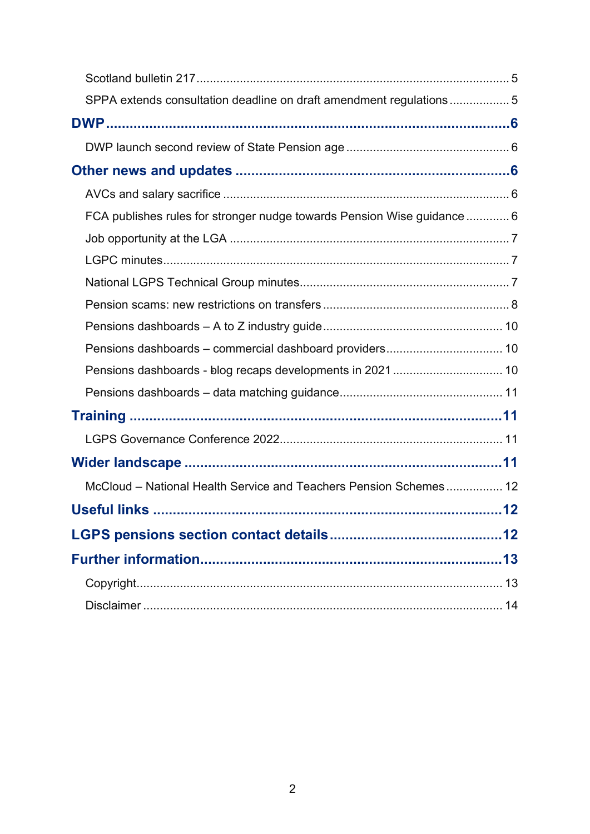| SPPA extends consultation deadline on draft amendment regulations5      |    |
|-------------------------------------------------------------------------|----|
|                                                                         |    |
|                                                                         |    |
|                                                                         |    |
|                                                                         |    |
| FCA publishes rules for stronger nudge towards Pension Wise guidance  6 |    |
|                                                                         |    |
|                                                                         |    |
|                                                                         |    |
|                                                                         |    |
|                                                                         |    |
|                                                                         |    |
|                                                                         |    |
|                                                                         |    |
|                                                                         |    |
|                                                                         |    |
|                                                                         |    |
| McCloud - National Health Service and Teachers Pension Schemes 12       |    |
| <b>Useful links</b>                                                     | 12 |
|                                                                         |    |
|                                                                         |    |
|                                                                         |    |
|                                                                         |    |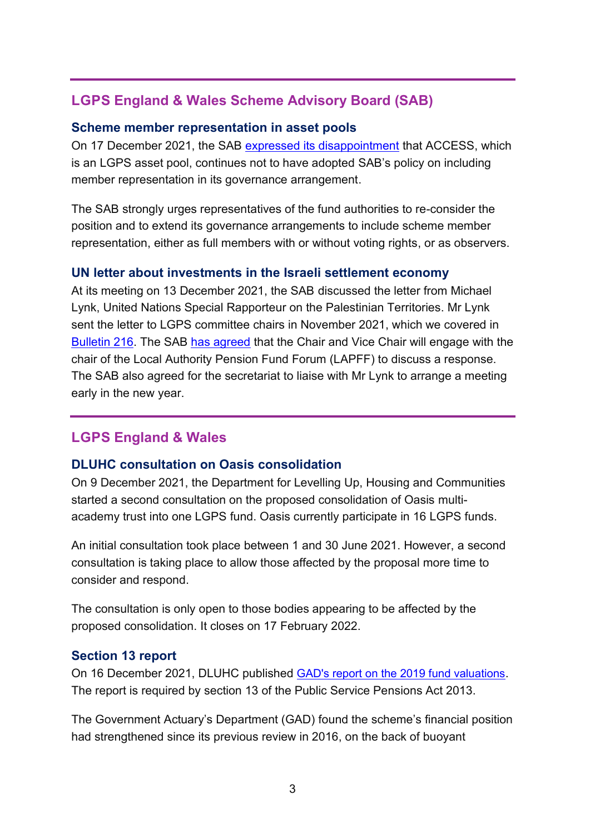# <span id="page-2-0"></span>**LGPS England & Wales Scheme Advisory Board (SAB)**

#### <span id="page-2-1"></span>**Scheme member representation in asset pools**

On 17 December 2021, the SAB [expressed its disappointment](https://www.lgpsboard.org/index.php/structure-reform/investment-pooling-2015) that ACCESS, which is an LGPS asset pool, continues not to have adopted SAB's policy on including member representation in its governance arrangement.

The SAB strongly urges representatives of the fund authorities to re-consider the position and to extend its governance arrangements to include scheme member representation, either as full members with or without voting rights, or as observers.

## <span id="page-2-2"></span>**UN letter about investments in the Israeli settlement economy**

At its meeting on 13 December 2021, the SAB discussed the letter from Michael Lynk, United Nations Special Rapporteur on the Palestinian Territories. Mr Lynk sent the letter to LGPS committee chairs in November 2021, which we covered in [Bulletin 216.](https://www.lgpsregs.org/bulletinsetc/bulletins.php) The SAB [has agreed](https://www.lgpsboard.org/index.php/structure-reform/investment-pooling-2015) that the Chair and Vice Chair will engage with the chair of the Local Authority Pension Fund Forum (LAPFF) to discuss a response. The SAB also agreed for the secretariat to liaise with Mr Lynk to arrange a meeting early in the new year.

# <span id="page-2-3"></span>**LGPS England & Wales**

## <span id="page-2-4"></span>**DLUHC consultation on Oasis consolidation**

On 9 December 2021, the Department for Levelling Up, Housing and Communities started a second consultation on the proposed consolidation of Oasis multiacademy trust into one LGPS fund. Oasis currently participate in 16 LGPS funds.

An initial consultation took place between 1 and 30 June 2021. However, a second consultation is taking place to allow those affected by the proposal more time to consider and respond.

The consultation is only open to those bodies appearing to be affected by the proposed consolidation. It closes on 17 February 2022.

## <span id="page-2-5"></span>**Section 13 report**

On 16 December 2021, DLUHC published [GAD's report on the 2019 fund valuations](https://www.gov.uk/government/publications/local-government-pension-scheme-review-of-the-actuarial-valuations-of-funds-as-at-31-march-2019). The report is required by section 13 of the Public Service Pensions Act 2013.

The Government Actuary's Department (GAD) found the scheme's financial position had strengthened since its previous review in 2016, on the back of buoyant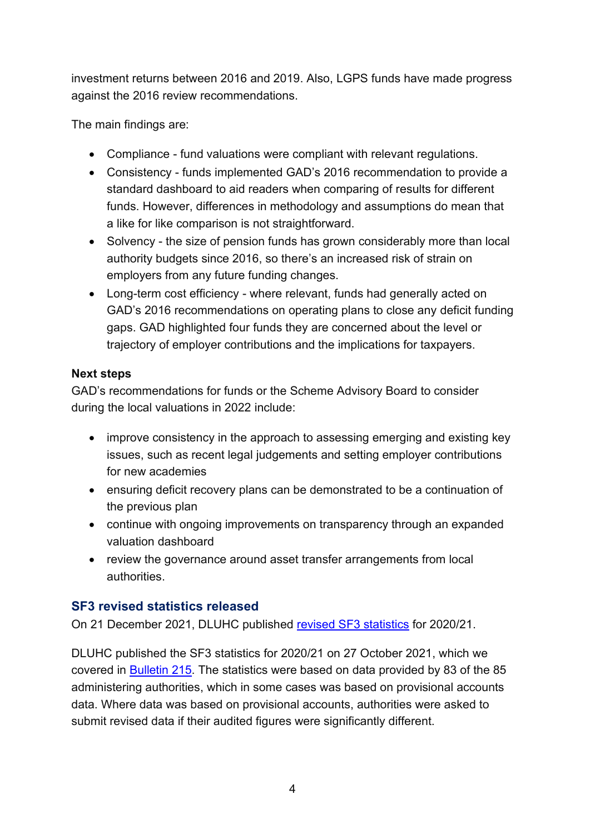investment returns between 2016 and 2019. Also, LGPS funds have made progress against the 2016 review recommendations.

The main findings are:

- Compliance fund valuations were compliant with relevant regulations.
- Consistency funds implemented GAD's 2016 recommendation to provide a standard dashboard to aid readers when comparing of results for different funds. However, differences in methodology and assumptions do mean that a like for like comparison is not straightforward.
- Solvency the size of pension funds has grown considerably more than local authority budgets since 2016, so there's an increased risk of strain on employers from any future funding changes.
- Long-term cost efficiency where relevant, funds had generally acted on GAD's 2016 recommendations on operating plans to close any deficit funding gaps. GAD highlighted four funds they are concerned about the level or trajectory of employer contributions and the implications for taxpayers.

## **Next steps**

GAD's recommendations for funds or the Scheme Advisory Board to consider during the local valuations in 2022 include:

- improve consistency in the approach to assessing emerging and existing key issues, such as recent legal judgements and setting employer contributions for new academies
- ensuring deficit recovery plans can be demonstrated to be a continuation of the previous plan
- continue with ongoing improvements on transparency through an expanded valuation dashboard
- review the governance around asset transfer arrangements from local authorities.

# <span id="page-3-0"></span>**SF3 revised statistics released**

On 21 December 2021, DLUHC published [revised SF3 statistics](https://www.gov.uk/government/statistics/local-government-pension-scheme-funds-for-england-and-wales-2020-to-2021#history) for 2020/21.

DLUHC published the SF3 statistics for 2020/21 on 27 October 2021, which we covered in [Bulletin 215.](https://lgpslibrary.org/assets/bulletins/2021/215.pdf) The statistics were based on data provided by 83 of the 85 administering authorities, which in some cases was based on provisional accounts data. Where data was based on provisional accounts, authorities were asked to submit revised data if their audited figures were significantly different.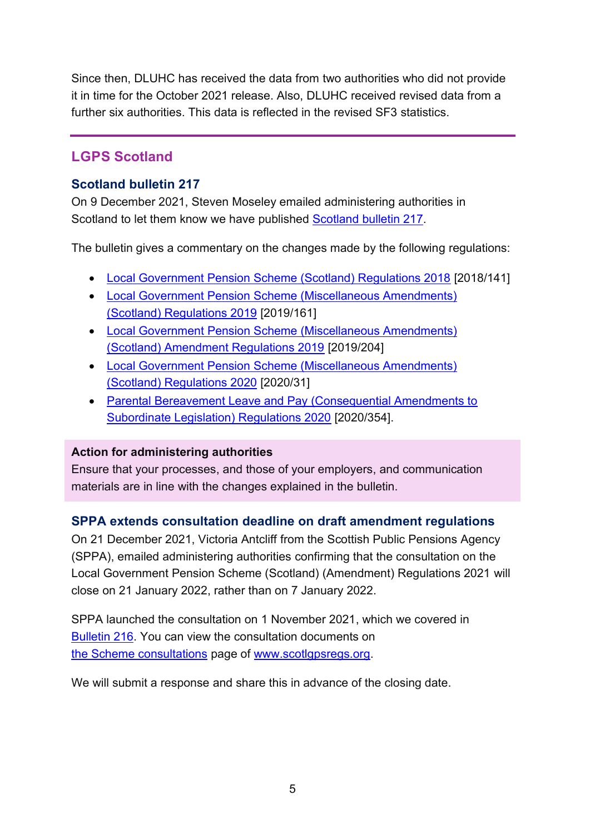Since then, DLUHC has received the data from two authorities who did not provide it in time for the October 2021 release. Also, DLUHC received revised data from a further six authorities. This data is reflected in the revised SF3 statistics.

# <span id="page-4-2"></span>**LGPS Scotland**

# <span id="page-4-0"></span>**Scotland bulletin 217**

On 9 December 2021, Steven Moseley emailed administering authorities in Scotland to let them know we have published [Scotland bulletin 217.](https://lgpslibrary.org/assets/bulletins/2021/217.pdf)

The bulletin gives a commentary on the changes made by the following regulations:

- [Local Government Pension Scheme \(Scotland\) Regulations 2018](https://www.legislation.gov.uk/ssi/2018/141/contents) [2018/141]
- [Local Government Pension Scheme \(Miscellaneous Amendments\)](https://www.legislation.gov.uk/ssi/2019/161/contents)  [\(Scotland\) Regulations 2019](https://www.legislation.gov.uk/ssi/2019/161/contents) [2019/161]
- [Local Government Pension Scheme \(Miscellaneous Amendments\)](https://www.legislation.gov.uk/ssi/2019/204/contents/made)  [\(Scotland\) Amendment Regulations 2019](https://www.legislation.gov.uk/ssi/2019/204/contents/made) [2019/204]
- [Local Government Pension Scheme \(Miscellaneous Amendments\)](https://www.legislation.gov.uk/ssi/2020/31/contents/made)  [\(Scotland\) Regulations 2020](https://www.legislation.gov.uk/ssi/2020/31/contents/made) [2020/31]
- [Parental Bereavement Leave and Pay \(Consequential Amendments to](https://www.legislation.gov.uk/uksi/2020/354/contents/made)  [Subordinate Legislation\) Regulations 2020](https://www.legislation.gov.uk/uksi/2020/354/contents/made) [2020/354].

## **Action for administering authorities**

Ensure that your processes, and those of your employers, and communication materials are in line with the changes explained in the bulletin.

# <span id="page-4-1"></span>**SPPA extends consultation deadline on draft amendment regulations**

On 21 December 2021, Victoria Antcliff from the Scottish Public Pensions Agency (SPPA), emailed administering authorities confirming that the consultation on the Local Government Pension Scheme (Scotland) (Amendment) Regulations 2021 will close on 21 January 2022, rather than on 7 January 2022.

SPPA launched the consultation on 1 November 2021, which we covered in [Bulletin 216.](https://lgpslibrary.org/assets/bulletins/2021/216.pdf) You can view the consultation documents on the Scheme consultations page of [www.scotlgpsregs.org.](http://www.scotlgpsregs.org/)

We will submit a response and share this in advance of the closing date.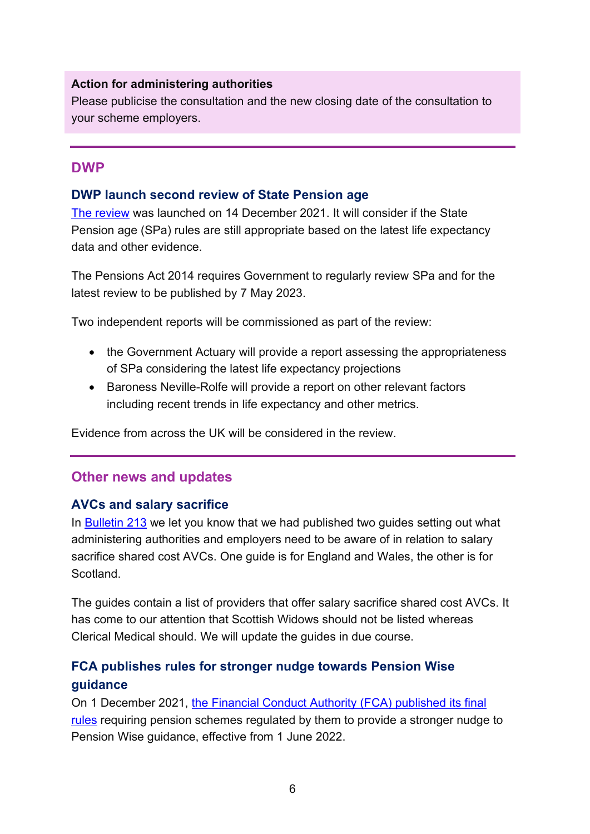#### **Action for administering authorities**

Please publicise the consultation and the new closing date of the consultation to your scheme employers.

## <span id="page-5-0"></span>**DWP**

## <span id="page-5-1"></span>**DWP launch second review of State Pension age**

[The review](https://www.gov.uk/government/news/second-state-pension-age-review-launches) was launched on 14 December 2021. It will consider if the State Pension age (SPa) rules are still appropriate based on the latest life expectancy data and other evidence.

The Pensions Act 2014 requires Government to regularly review SPa and for the latest review to be published by 7 May 2023.

Two independent reports will be commissioned as part of the review:

- the Government Actuary will provide a report assessing the appropriateness of SPa considering the latest life expectancy projections
- Baroness Neville-Rolfe will provide a report on other relevant factors including recent trends in life expectancy and other metrics.

Evidence from across the UK will be considered in the review.

# <span id="page-5-2"></span>**Other news and updates**

## <span id="page-5-3"></span>**AVCs and salary sacrifice**

In [Bulletin 213](https://www.lgpsregs.org/bulletinsetc/bulletins.php) we let you know that we had published two guides setting out what administering authorities and employers need to be aware of in relation to salary sacrifice shared cost AVCs. One guide is for England and Wales, the other is for Scotland.

The guides contain a list of providers that offer salary sacrifice shared cost AVCs. It has come to our attention that Scottish Widows should not be listed whereas Clerical Medical should. We will update the guides in due course.

# <span id="page-5-4"></span>**FCA publishes rules for stronger nudge towards Pension Wise guidance**

On 1 December 2021, [the Financial Conduct Authority \(FCA\) published its final](https://www.fca.org.uk/publication/policy/ps21-21.pdf)  [rules](https://www.fca.org.uk/publication/policy/ps21-21.pdf) requiring pension schemes regulated by them to provide a stronger nudge to Pension Wise guidance, effective from 1 June 2022.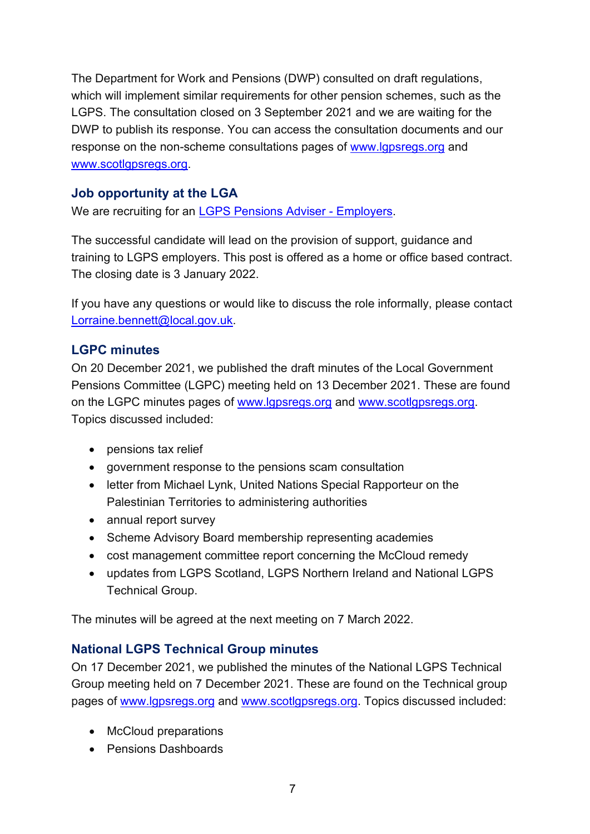The Department for Work and Pensions (DWP) consulted on draft regulations, which will implement similar requirements for other pension schemes, such as the LGPS. The consultation closed on 3 September 2021 and we are waiting for the DWP to publish its response. You can access the consultation documents and our response on the non-scheme consultations pages of [www.lgpsregs.org](http://www.lgpsregs.org/) and [www.scotlgpsregs.org.](http://www.scotlgpsregs.org/)

## <span id="page-6-0"></span>**Job opportunity at the LGA**

We are recruiting for an [LGPS Pensions Adviser -](https://www.jobtrain.co.uk/lga/displayjob.aspx?jobid=1490) Employers.

The successful candidate will lead on the provision of support, guidance and training to LGPS employers. This post is offered as a home or office based contract. The closing date is 3 January 2022.

If you have any questions or would like to discuss the role informally, please contact [Lorraine.bennett@local.gov.uk.](mailto:Lorraine.bennett@local.gov.uk)

# <span id="page-6-1"></span>**LGPC minutes**

On 20 December 2021, we published the draft minutes of the Local Government Pensions Committee (LGPC) meeting held on 13 December 2021. These are found on the LGPC minutes pages of [www.lgpsregs.org](http://www.lgpsregs.org/) and [www.scotlgpsregs.org.](http://www.scotlgpsregs.org/) Topics discussed included:

- pensions tax relief
- government response to the pensions scam consultation
- letter from Michael Lynk, United Nations Special Rapporteur on the Palestinian Territories to administering authorities
- annual report survey
- Scheme Advisory Board membership representing academies
- cost management committee report concerning the McCloud remedy
- updates from LGPS Scotland, LGPS Northern Ireland and National LGPS Technical Group.

The minutes will be agreed at the next meeting on 7 March 2022.

## <span id="page-6-2"></span>**National LGPS Technical Group minutes**

On 17 December 2021, we published the minutes of the National LGPS Technical Group meeting held on 7 December 2021. These are found on the Technical group pages of [www.lgpsregs.org](http://www.lgpsregs.org/) and [www.scotlgpsregs.org.](http://www.scotlgpsregs.org/) Topics discussed included:

- McCloud preparations
- Pensions Dashboards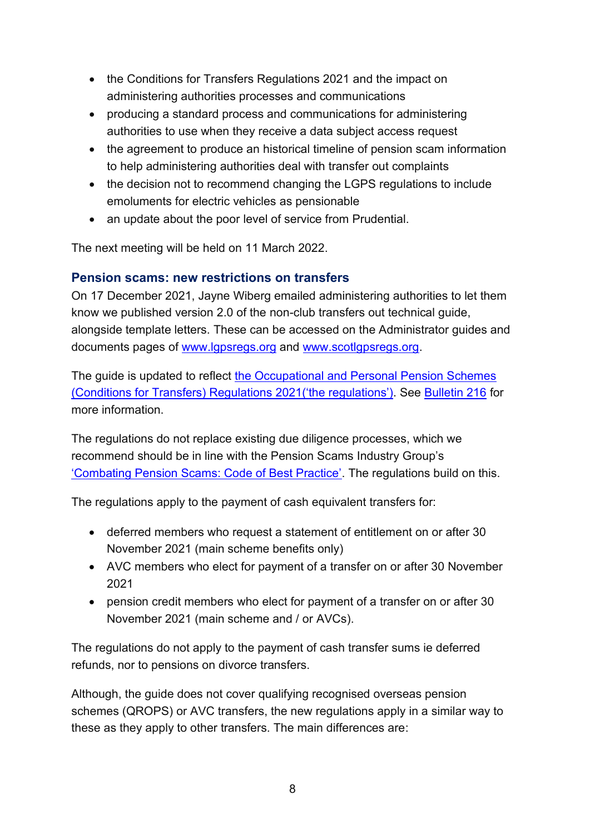- the Conditions for Transfers Regulations 2021 and the impact on administering authorities processes and communications
- producing a standard process and communications for administering authorities to use when they receive a data subject access request
- the agreement to produce an historical timeline of pension scam information to help administering authorities deal with transfer out complaints
- the decision not to recommend changing the LGPS regulations to include emoluments for electric vehicles as pensionable
- an update about the poor level of service from Prudential.

The next meeting will be held on 11 March 2022.

# <span id="page-7-0"></span>**Pension scams: new restrictions on transfers**

On 17 December 2021, Jayne Wiberg emailed administering authorities to let them know we published version 2.0 of the non-club transfers out technical guide, alongside template letters. These can be accessed on the Administrator guides and documents pages of [www.lgpsregs.org](http://www.lgpsregs.org/) and [www.scotlgpsregs.org.](http://www.scotlgpsregs.org/)

The guide is updated to reflect [the Occupational and Personal Pension Schemes](https://www.legislation.gov.uk/uksi/2021/1237/contents/made)  [\(Conditions for Transfers\) Regulations](https://www.legislation.gov.uk/uksi/2021/1237/contents/made) 2021('the regulations'). See [Bulletin 216](https://lgpslibrary.org/assets/bulletins/2021/216.pdf) for more information.

The regulations do not replace existing due diligence processes, which we recommend should be in line with the Pension Scams Industry Group's ['Combating Pension Scams: Code of Best Practice'](https://www.plsa.co.uk/Policy-and-Research/Document-library/Combating-Pension-Scams-a-Code-of-Good-Practice). The regulations build on this.

The regulations apply to the payment of cash equivalent transfers for:

- deferred members who request a statement of entitlement on or after 30 November 2021 (main scheme benefits only)
- AVC members who elect for payment of a transfer on or after 30 November 2021
- pension credit members who elect for payment of a transfer on or after 30 November 2021 (main scheme and / or AVCs).

The regulations do not apply to the payment of cash transfer sums ie deferred refunds, nor to pensions on divorce transfers.

Although, the guide does not cover qualifying recognised overseas pension schemes (QROPS) or AVC transfers, the new regulations apply in a similar way to these as they apply to other transfers. The main differences are: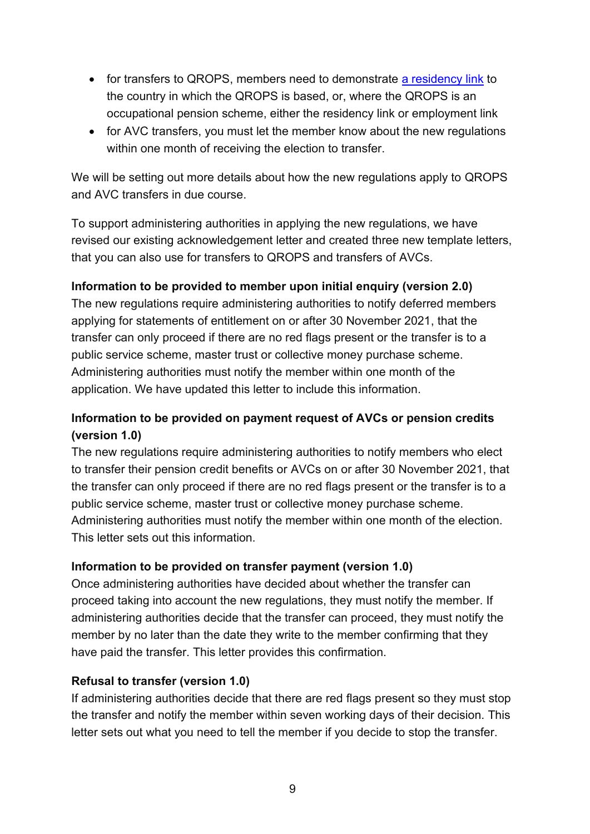- for transfers to QROPS, members need to demonstrate [a residency link](https://www.thepensionsregulator.gov.uk/en/pension-scams/dealing-with-transfer-requests#b332e009bd8544c599667e3e1e1ad033) to the country in which the QROPS is based, or, where the QROPS is an occupational pension scheme, either the residency link or employment link
- for AVC transfers, you must let the member know about the new regulations within one month of receiving the election to transfer.

We will be setting out more details about how the new regulations apply to QROPS and AVC transfers in due course.

To support administering authorities in applying the new regulations, we have revised our existing acknowledgement letter and created three new template letters, that you can also use for transfers to QROPS and transfers of AVCs.

## **Information to be provided to member upon initial enquiry (version 2.0)**

The new regulations require administering authorities to notify deferred members applying for statements of entitlement on or after 30 November 2021, that the transfer can only proceed if there are no red flags present or the transfer is to a public service scheme, master trust or collective money purchase scheme. Administering authorities must notify the member within one month of the application. We have updated this letter to include this information.

# **Information to be provided on payment request of AVCs or pension credits (version 1.0)**

The new regulations require administering authorities to notify members who elect to transfer their pension credit benefits or AVCs on or after 30 November 2021, that the transfer can only proceed if there are no red flags present or the transfer is to a public service scheme, master trust or collective money purchase scheme. Administering authorities must notify the member within one month of the election. This letter sets out this information.

## **Information to be provided on transfer payment (version 1.0)**

Once administering authorities have decided about whether the transfer can proceed taking into account the new regulations, they must notify the member. If administering authorities decide that the transfer can proceed, they must notify the member by no later than the date they write to the member confirming that they have paid the transfer. This letter provides this confirmation.

## **Refusal to transfer (version 1.0)**

If administering authorities decide that there are red flags present so they must stop the transfer and notify the member within seven working days of their decision. This letter sets out what you need to tell the member if you decide to stop the transfer.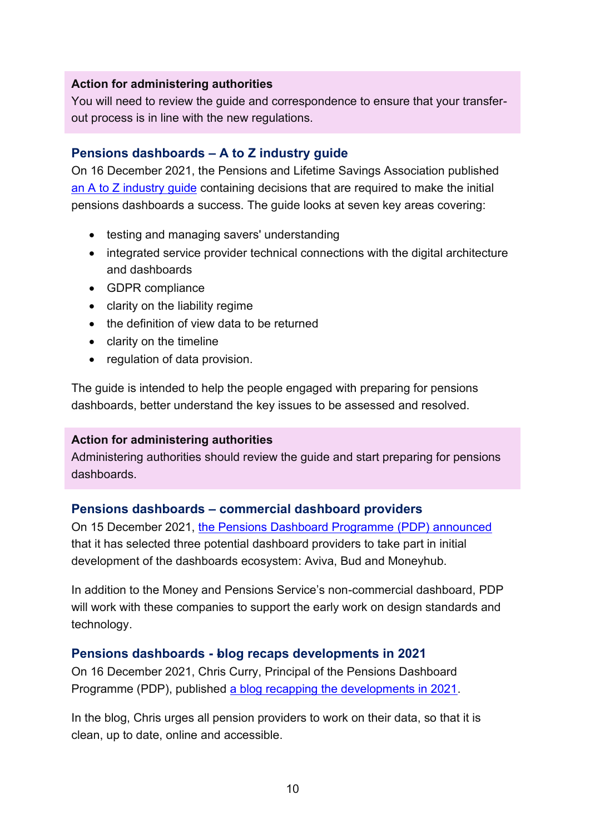#### **Action for administering authorities**

You will need to review the guide and correspondence to ensure that your transferout process is in line with the new regulations.

#### <span id="page-9-0"></span>**Pensions dashboards – A to Z industry guide**

On 16 December 2021, the Pensions and Lifetime Savings Association published an A to Z [industry guide](https://www.plsa.co.uk/Press-Centre/Press-Releases/Article/PLSA-publishes-Pensions-Dashboards-A-Z-to-guide-industry-to-decisions-required-for-initial-dashboards-) containing decisions that are required to make the initial pensions dashboards a success. The guide looks at seven key areas covering:

- testing and managing savers' understanding
- integrated service provider technical connections with the digital architecture and dashboards
- GDPR compliance
- clarity on the liability regime
- the definition of view data to be returned
- clarity on the timeline
- regulation of data provision.

The guide is intended to help the people engaged with preparing for pensions dashboards, better understand the key issues to be assessed and resolved.

#### **Action for administering authorities**

Administering authorities should review the guide and start preparing for pensions dashboards.

#### <span id="page-9-1"></span>**Pensions dashboards – commercial dashboard providers**

On 15 December 2021, [the Pensions Dashboard Programme \(PDP\) announced](https://www.pensionsdashboardsprogramme.org.uk/2021/12/15/pdp-announces-pensions-dashboards-providers-support-development/) that it has selected three potential dashboard providers to take part in initial development of the dashboards ecosystem: Aviva, Bud and Moneyhub.

In addition to the Money and Pensions Service's non-commercial dashboard, PDP will work with these companies to support the early work on design standards and technology.

#### <span id="page-9-2"></span>**Pensions dashboards - -blog recaps developments in 2021**

On 16 December 2021, Chris Curry, Principal of the Pensions Dashboard Programme (PDP), published [a blog recapping the developments in 2021.](https://www.pensionsdashboardsprogramme.org.uk/2021/12/16/twelve-months-pensions-dashboards-progress/)

In the blog, Chris urges all pension providers to work on their data, so that it is clean, up to date, online and accessible.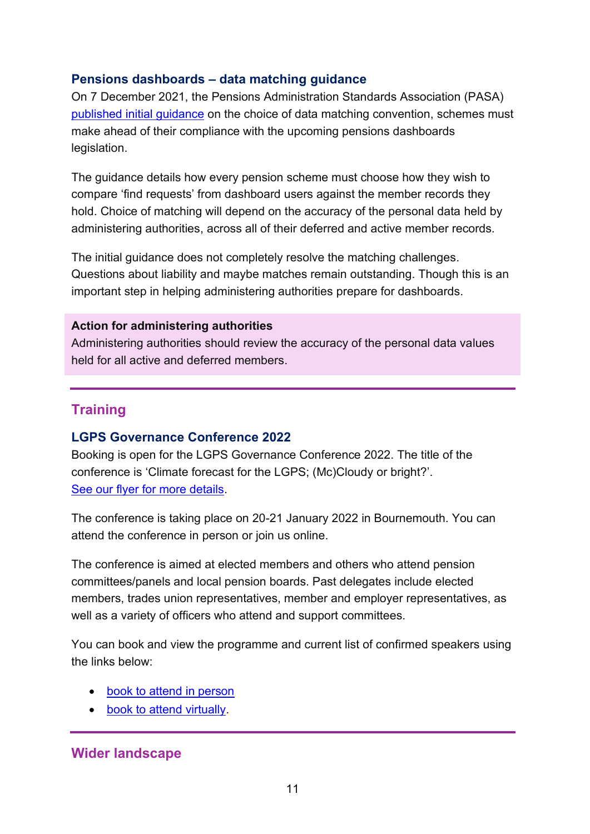## <span id="page-10-0"></span>**Pensions dashboards – data matching guidance**

On 7 December 2021, the Pensions Administration Standards Association (PASA) [published initial guidance](https://www.pasa-uk.com/pasa-announce-data-matching-convention-dmc-guidance/) on the choice of data matching convention, schemes must make ahead of their compliance with the upcoming pensions dashboards legislation.

The guidance details how every pension scheme must choose how they wish to compare 'find requests' from dashboard users against the member records they hold. Choice of matching will depend on the accuracy of the personal data held by administering authorities, across all of their deferred and active member records.

The initial guidance does not completely resolve the matching challenges. Questions about liability and maybe matches remain outstanding. Though this is an important step in helping administering authorities prepare for dashboards.

#### **Action for administering authorities**

Administering authorities should review the accuracy of the personal data values held for all active and deferred members.

# <span id="page-10-1"></span>**Training**

#### <span id="page-10-2"></span>**LGPS Governance Conference 2022**

Booking is open for the LGPS Governance Conference 2022. The title of the conference is 'Climate forecast for the LGPS; (Mc)Cloudy or bright?'. [See our flyer for more details.](https://cdn.eventsforce.net/files/ef-jc6e54q56tji/website/1259/flyer_final.pdf)

The conference is taking place on 20-21 January 2022 in Bournemouth. You can attend the conference in person or join us online.

The conference is aimed at elected members and others who attend pension committees/panels and local pension boards. Past delegates include elected members, trades union representatives, member and employer representatives, as well as a variety of officers who attend and support committees.

You can book and view the programme and current list of confirmed speakers using the links below:

- [book to attend in person](https://lgaevents.local.gov.uk/lga/1259/home)
- [book to attend virtually.](https://lgaevents.local.gov.uk/lga/1267/home)

# <span id="page-10-3"></span>**Wider landscape**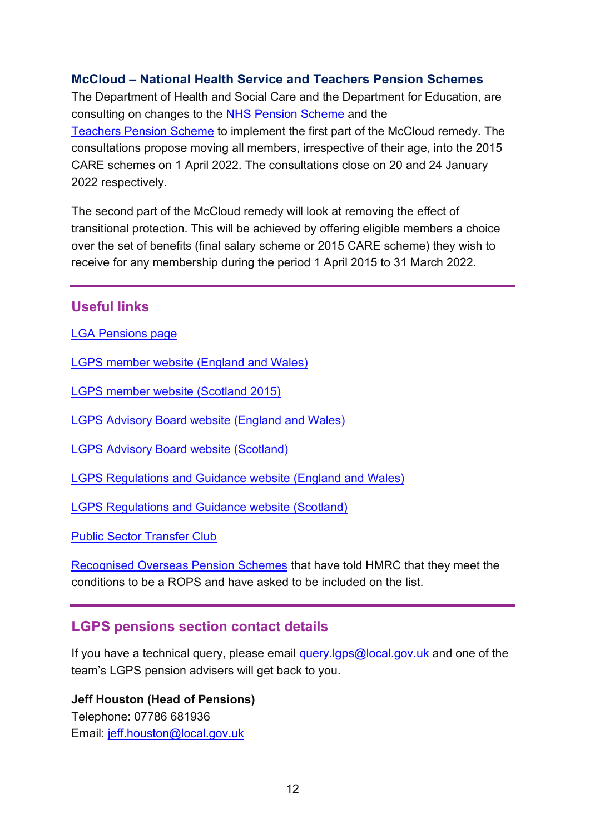## <span id="page-11-0"></span>**McCloud – National Health Service and Teachers Pension Schemes**

The Department of Health and Social Care and the Department for Education, are consulting on changes to the [NHS Pension Scheme](https://www.gov.uk/government/consultations/nhs-pension-scheme-mccloud-remedy-part-1-proposed-changes-to-scheme-regulations-2022) and the [Teachers Pension Scheme](https://www.gov.uk/government/consultations/teachers-pension-scheme-proposed-changes-to-scheme-regulations) to implement the first part of the McCloud remedy. The consultations propose moving all members, irrespective of their age, into the 2015 CARE schemes on 1 April 2022. The consultations close on 20 and 24 January 2022 respectively.

The second part of the McCloud remedy will look at removing the effect of transitional protection. This will be achieved by offering eligible members a choice over the set of benefits (final salary scheme or 2015 CARE scheme) they wish to receive for any membership during the period 1 April 2015 to 31 March 2022.

#### <span id="page-11-1"></span>**Useful links**

[LGA Pensions page](https://local.gov.uk/our-support/workforce-and-hr-support/local-government-pensions)

[LGPS member website \(England and Wales\)](https://www.lgpsmember.org/)

[LGPS member website \(Scotland 2015\)](http://www.scotlgps2015.org/)

[LGPS Advisory Board website \(England and Wales\)](http://www.lgpsboard.org/)

[LGPS Advisory Board website \(Scotland\)](http://lgpsab.scot/)

[LGPS Regulations and Guidance website \(England and Wales\)](http://www.lgpsregs.org/)

[LGPS Regulations and Guidance website \(Scotland\)](http://www.scotlgpsregs.org/)

[Public Sector Transfer Club](http://www.civilservicepensionscheme.org.uk/members/public-sector-transfer-club/)

[Recognised Overseas Pension Schemes](http://www.hmrc.gov.uk/pensionschemes/qrops-list.htm) that have told HMRC that they meet the conditions to be a ROPS and have asked to be included on the list.

## <span id="page-11-2"></span>**LGPS pensions section contact details**

If you have a technical query, please email [query.lgps@local.gov.uk](mailto:query.lgps@local.gov.uk) and one of the team's LGPS pension advisers will get back to you.

**Jeff Houston (Head of Pensions)** Telephone: 07786 681936 Email: [jeff.houston@local.gov.uk](mailto:jeff.houston@local.gov.uk)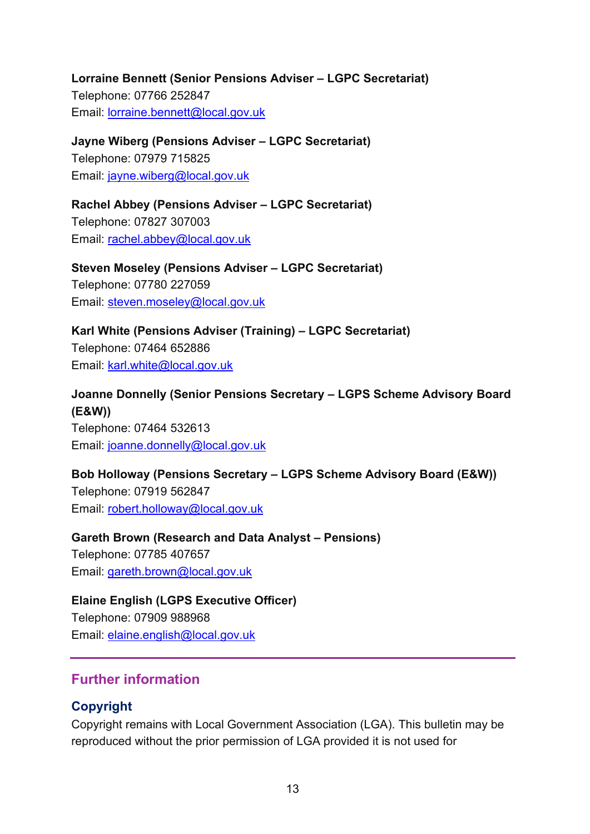**Lorraine Bennett (Senior Pensions Adviser – LGPC Secretariat)** Telephone: 07766 252847 Email: [lorraine.bennett@local.gov.uk](mailto:lorraine.bennett@local.gov.uk)

**Jayne Wiberg (Pensions Adviser – LGPC Secretariat)** Telephone: 07979 715825 Email: [jayne.wiberg@local.gov.uk](mailto:jayne.wiberg@local.gov.uk)

**Rachel Abbey (Pensions Adviser – LGPC Secretariat)** Telephone: 07827 307003 Email: [rachel.abbey@local.gov.uk](mailto:rachel.abbey@local.gov.uk)

**Steven Moseley (Pensions Adviser – LGPC Secretariat)** Telephone: 07780 227059 Email: [steven.moseley@local.gov.uk](mailto:steven.moseley@local.gov.uk)

**Karl White (Pensions Adviser (Training) – LGPC Secretariat)** Telephone: 07464 652886 Email: [karl.white@local.gov.uk](mailto:karl.white@local.gov.uk)

**Joanne Donnelly (Senior Pensions Secretary – LGPS Scheme Advisory Board (E&W))** Telephone: 07464 532613

Email: [joanne.donnelly@local.gov.uk](mailto:joanne.donnelly@local.gov.uk)

**Bob Holloway (Pensions Secretary – LGPS Scheme Advisory Board (E&W))** Telephone: 07919 562847

Email: [robert.holloway@local.gov.uk](mailto:robert.holloway@local.gov.uk)

**Gareth Brown (Research and Data Analyst - Pensions)** 

Telephone: 07785 407657 Email: [gareth.brown@local.gov.uk](mailto:gareth.brown@local.gov.uk)

**Elaine English (LGPS Executive Officer)**

Telephone: 07909 988968 Email: [elaine.english@local.gov.uk](mailto:elaine.english@local.gov.uk)

# <span id="page-12-0"></span>**Further information**

# <span id="page-12-1"></span>**Copyright**

Copyright remains with Local Government Association (LGA). This bulletin may be reproduced without the prior permission of LGA provided it is not used for